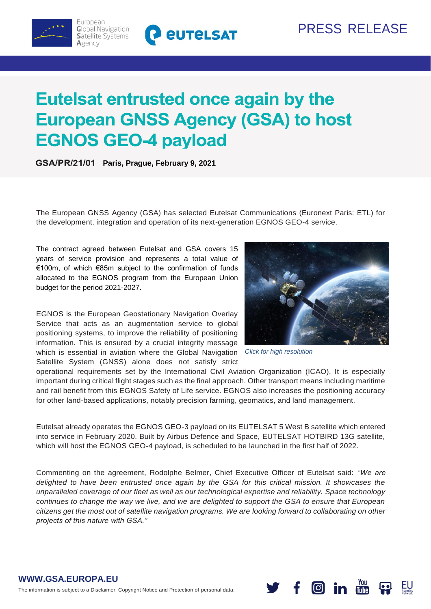

# Eutelsat entrusted once again by the **European GNSS Agency (GSA) to host EGNOS GEO-4 payload**

**Paris, Prague, February 9, 2021**

The European GNSS Agency (GSA) has selected Eutelsat Communications (Euronext Paris: ETL) for the development, integration and operation of its next-generation EGNOS GEO-4 service.

The contract agreed between Eutelsat and GSA covers 15 years of service provision and represents a total value of €100m, of which €85m subject to the confirmation of funds allocated to the EGNOS program from the European Union budget for the period 2021-2027.

EGNOS is the European Geostationary Navigation Overlay Service that acts as an augmentation service to global positioning systems, to improve the reliability of positioning information. This is ensured by a crucial integrity message which is essential in aviation where the Global Navigation *Click for high resolution*Satellite System (GNSS) alone does not satisfy strict



operational requirements set by the International Civil Aviation Organization (ICAO). It is especially important during critical flight stages such as the final approach. Other transport means including maritime and rail benefit from this EGNOS Safety of Life service. EGNOS also increases the positioning accuracy for other land-based applications, notably precision farming, geomatics, and land management.

Eutelsat already operates the EGNOS GEO-3 payload on its EUTELSAT 5 West B satellite which entered into service in February 2020. Built by Airbus Defence and Space, EUTELSAT HOTBIRD 13G satellite, which will host the EGNOS GEO-4 payload, is scheduled to be launched in the first half of 2022.

Commenting on the agreement, Rodolphe Belmer, Chief Executive Officer of Eutelsat said: *"We are delighted to have been entrusted once again by the GSA for this critical mission. It showcases the unparalleled coverage of our fleet as well as our technological expertise and reliability. Space technology continues to change the way we live, and we are delighted to support the GSA to ensure that European citizens get the most out of satellite navigation programs. We are looking forward to collaborating on other projects of this nature with GSA."*